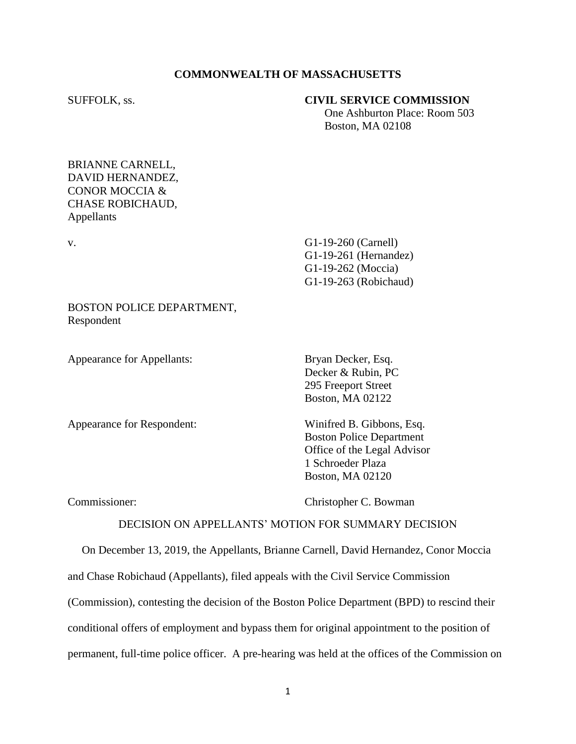#### **COMMONWEALTH OF MASSACHUSETTS**

#### SUFFOLK, ss. **CIVIL SERVICE COMMISSION**

 One Ashburton Place: Room 503 Boston, MA 02108

### BRIANNE CARNELL, DAVID HERNANDEZ, CONOR MOCCIA & CHASE ROBICHAUD, Appellants

v. G1-19-260 (Carnell) G1-19-261 (Hernandez) G1-19-262 (Moccia) G1-19-263 (Robichaud)

### BOSTON POLICE DEPARTMENT, Respondent

Appearance for Appellants: Bryan Decker, Esq.

Appearance for Respondent: Winifred B. Gibbons, Esq.

Decker & Rubin, PC 295 Freeport Street Boston, MA 02122

Boston Police Department Office of the Legal Advisor 1 Schroeder Plaza Boston, MA 02120

Commissioner: Christopher C. Bowman

#### DECISION ON APPELLANTS' MOTION FOR SUMMARY DECISION

 On December 13, 2019, the Appellants, Brianne Carnell, David Hernandez, Conor Moccia and Chase Robichaud (Appellants), filed appeals with the Civil Service Commission (Commission), contesting the decision of the Boston Police Department (BPD) to rescind their conditional offers of employment and bypass them for original appointment to the position of permanent, full-time police officer. A pre-hearing was held at the offices of the Commission on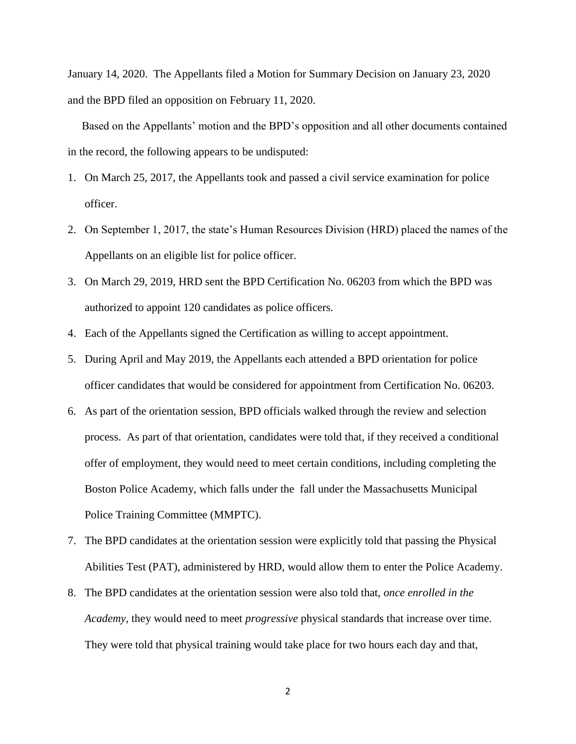January 14, 2020. The Appellants filed a Motion for Summary Decision on January 23, 2020 and the BPD filed an opposition on February 11, 2020.

 Based on the Appellants' motion and the BPD's opposition and all other documents contained in the record, the following appears to be undisputed:

- 1. On March 25, 2017, the Appellants took and passed a civil service examination for police officer.
- 2. On September 1, 2017, the state's Human Resources Division (HRD) placed the names of the Appellants on an eligible list for police officer.
- 3. On March 29, 2019, HRD sent the BPD Certification No. 06203 from which the BPD was authorized to appoint 120 candidates as police officers.
- 4. Each of the Appellants signed the Certification as willing to accept appointment.
- 5. During April and May 2019, the Appellants each attended a BPD orientation for police officer candidates that would be considered for appointment from Certification No. 06203.
- 6. As part of the orientation session, BPD officials walked through the review and selection process. As part of that orientation, candidates were told that, if they received a conditional offer of employment, they would need to meet certain conditions, including completing the Boston Police Academy, which falls under the fall under the Massachusetts Municipal Police Training Committee (MMPTC).
- 7. The BPD candidates at the orientation session were explicitly told that passing the Physical Abilities Test (PAT), administered by HRD, would allow them to enter the Police Academy.
- 8. The BPD candidates at the orientation session were also told that, *once enrolled in the Academy*, they would need to meet *progressive* physical standards that increase over time. They were told that physical training would take place for two hours each day and that,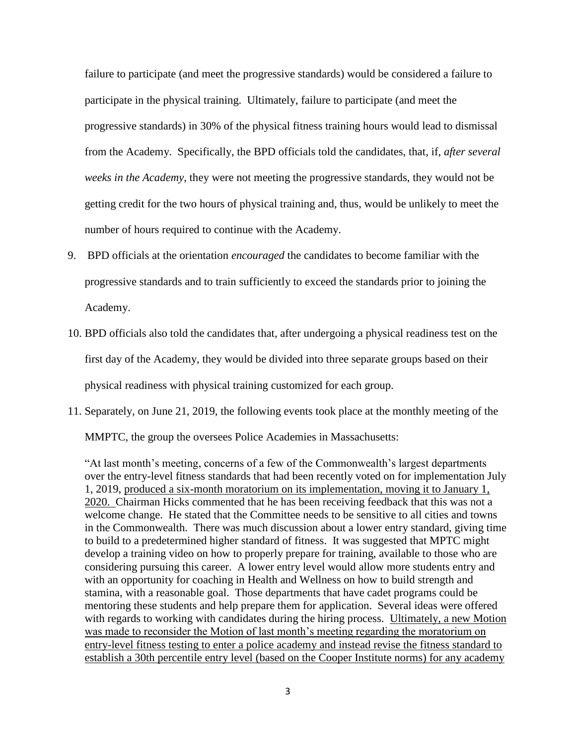failure to participate (and meet the progressive standards) would be considered a failure to participate in the physical training. Ultimately, failure to participate (and meet the progressive standards) in 30% of the physical fitness training hours would lead to dismissal from the Academy. Specifically, the BPD officials told the candidates, that, if, *after several weeks in the Academy*, they were not meeting the progressive standards, they would not be getting credit for the two hours of physical training and, thus, would be unlikely to meet the number of hours required to continue with the Academy.

- 9. BPD officials at the orientation *encouraged* the candidates to become familiar with the progressive standards and to train sufficiently to exceed the standards prior to joining the Academy.
- 10. BPD officials also told the candidates that, after undergoing a physical readiness test on the first day of the Academy, they would be divided into three separate groups based on their physical readiness with physical training customized for each group.
- 11. Separately, on June 21, 2019, the following events took place at the monthly meeting of the

MMPTC, the group the oversees Police Academies in Massachusetts:

"At last month's meeting, concerns of a few of the Commonwealth's largest departments over the entry-level fitness standards that had been recently voted on for implementation July 1, 2019, produced a six-month moratorium on its implementation, moving it to January 1, 2020. Chairman Hicks commented that he has been receiving feedback that this was not a welcome change. He stated that the Committee needs to be sensitive to all cities and towns in the Commonwealth. There was much discussion about a lower entry standard, giving time to build to a predetermined higher standard of fitness. It was suggested that MPTC might develop a training video on how to properly prepare for training, available to those who are considering pursuing this career. A lower entry level would allow more students entry and with an opportunity for coaching in Health and Wellness on how to build strength and stamina, with a reasonable goal. Those departments that have cadet programs could be mentoring these students and help prepare them for application. Several ideas were offered with regards to working with candidates during the hiring process. Ultimately, a new Motion was made to reconsider the Motion of last month's meeting regarding the moratorium on entry-level fitness testing to enter a police academy and instead revise the fitness standard to establish a 30th percentile entry level (based on the Cooper Institute norms) for any academy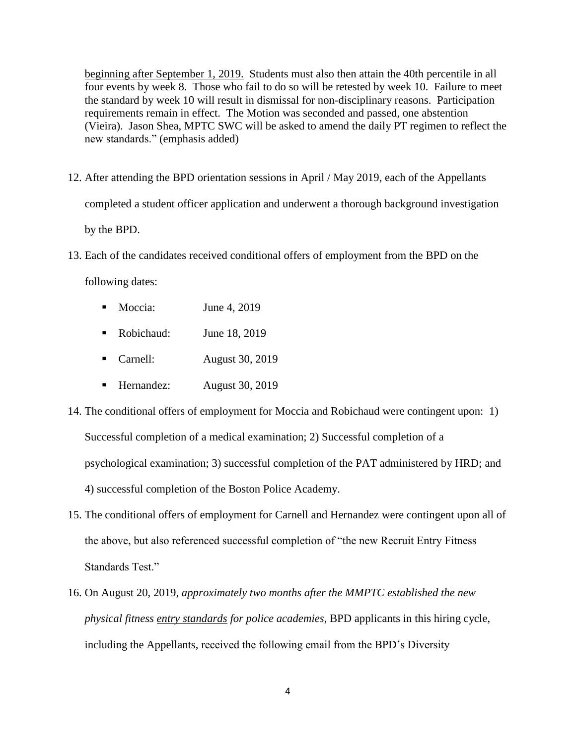beginning after September 1, 2019. Students must also then attain the 40th percentile in all four events by week 8. Those who fail to do so will be retested by week 10. Failure to meet the standard by week 10 will result in dismissal for non-disciplinary reasons. Participation requirements remain in effect. The Motion was seconded and passed, one abstention (Vieira). Jason Shea, MPTC SWC will be asked to amend the daily PT regimen to reflect the new standards." (emphasis added)

- 12. After attending the BPD orientation sessions in April / May 2019, each of the Appellants completed a student officer application and underwent a thorough background investigation by the BPD.
- 13. Each of the candidates received conditional offers of employment from the BPD on the

following dates:

- Moccia: June 4, 2019
- Robichaud: June 18, 2019
- Carnell: August 30, 2019
- Hernandez: August 30, 2019
- 14. The conditional offers of employment for Moccia and Robichaud were contingent upon: 1) Successful completion of a medical examination; 2) Successful completion of a psychological examination; 3) successful completion of the PAT administered by HRD; and 4) successful completion of the Boston Police Academy.
- 15. The conditional offers of employment for Carnell and Hernandez were contingent upon all of the above, but also referenced successful completion of "the new Recruit Entry Fitness Standards Test."
- 16. On August 20, 2019, *approximately two months after the MMPTC established the new physical fitness entry standards for police academies*, BPD applicants in this hiring cycle, including the Appellants, received the following email from the BPD's Diversity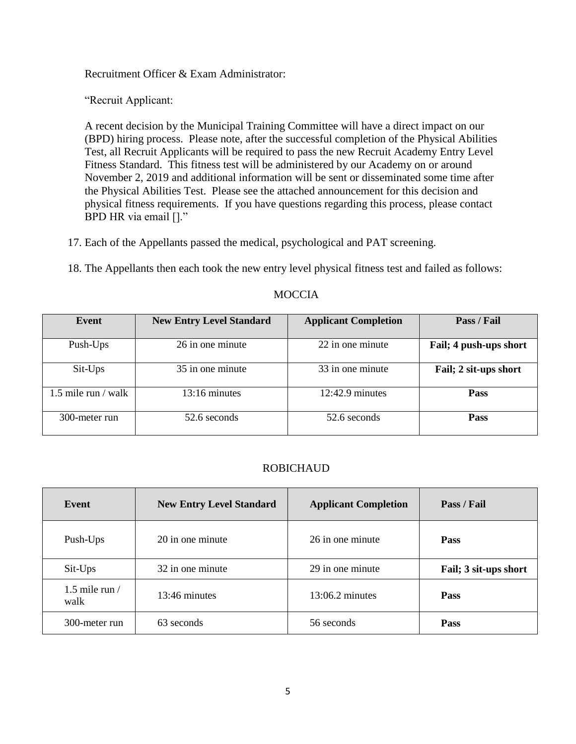Recruitment Officer & Exam Administrator:

"Recruit Applicant:

A recent decision by the Municipal Training Committee will have a direct impact on our (BPD) hiring process. Please note, after the successful completion of the Physical Abilities Test, all Recruit Applicants will be required to pass the new Recruit Academy Entry Level Fitness Standard. This fitness test will be administered by our Academy on or around November 2, 2019 and additional information will be sent or disseminated some time after the Physical Abilities Test. Please see the attached announcement for this decision and physical fitness requirements. If you have questions regarding this process, please contact BPD HR via email []."

17. Each of the Appellants passed the medical, psychological and PAT screening.

18. The Appellants then each took the new entry level physical fitness test and failed as follows:

| Event               | <b>New Entry Level Standard</b> | <b>Applicant Completion</b> | Pass / Fail            |
|---------------------|---------------------------------|-----------------------------|------------------------|
| Push-Ups            | 26 in one minute                | 22 in one minute            | Fail; 4 push-ups short |
| Sit-Ups             | 35 in one minute                | 33 in one minute            | Fail; 2 sit-ups short  |
| 1.5 mile run / walk | $13:16$ minutes                 | $12:42.9$ minutes           | <b>Pass</b>            |
| 300-meter run       | 52.6 seconds                    | 52.6 seconds                | <b>Pass</b>            |

# **MOCCIA**

# ROBICHAUD

| Event                    | <b>New Entry Level Standard</b> | <b>Applicant Completion</b> | Pass / Fail           |
|--------------------------|---------------------------------|-----------------------------|-----------------------|
| Push-Ups                 | 20 in one minute                | 26 in one minute            | <b>Pass</b>           |
| Sit-Ups                  | 32 in one minute                | 29 in one minute            | Fail; 3 sit-ups short |
| 1.5 mile run $/$<br>walk | 13:46 minutes                   | $13:06.2$ minutes           | <b>Pass</b>           |
| 300-meter run            | 63 seconds                      | 56 seconds                  | <b>Pass</b>           |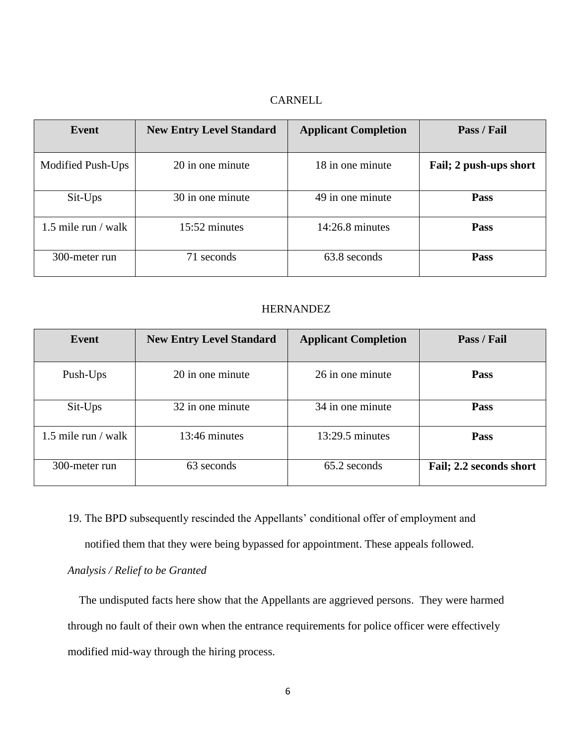# CARNELL

| Event               | <b>New Entry Level Standard</b> | <b>Applicant Completion</b> | Pass / Fail            |
|---------------------|---------------------------------|-----------------------------|------------------------|
| Modified Push-Ups   | 20 in one minute                | 18 in one minute            | Fail; 2 push-ups short |
| Sit-Ups             | 30 in one minute                | 49 in one minute            | <b>Pass</b>            |
| 1.5 mile run / walk | 15:52 minutes                   | $14:26.8$ minutes           | <b>Pass</b>            |
| 300-meter run       | 71 seconds                      | 63.8 seconds                | <b>Pass</b>            |

#### HERNANDEZ

| Event               | <b>New Entry Level Standard</b> | <b>Applicant Completion</b> | Pass / Fail             |
|---------------------|---------------------------------|-----------------------------|-------------------------|
| Push-Ups            | 20 in one minute                | 26 in one minute            | <b>Pass</b>             |
| Sit-Ups             | 32 in one minute                | 34 in one minute            | <b>Pass</b>             |
| 1.5 mile run / walk | 13:46 minutes                   | $13:29.5$ minutes           | <b>Pass</b>             |
| 300-meter run       | 63 seconds                      | 65.2 seconds                | Fail; 2.2 seconds short |

19. The BPD subsequently rescinded the Appellants' conditional offer of employment and

notified them that they were being bypassed for appointment. These appeals followed.

# *Analysis / Relief to be Granted*

 The undisputed facts here show that the Appellants are aggrieved persons. They were harmed through no fault of their own when the entrance requirements for police officer were effectively modified mid-way through the hiring process.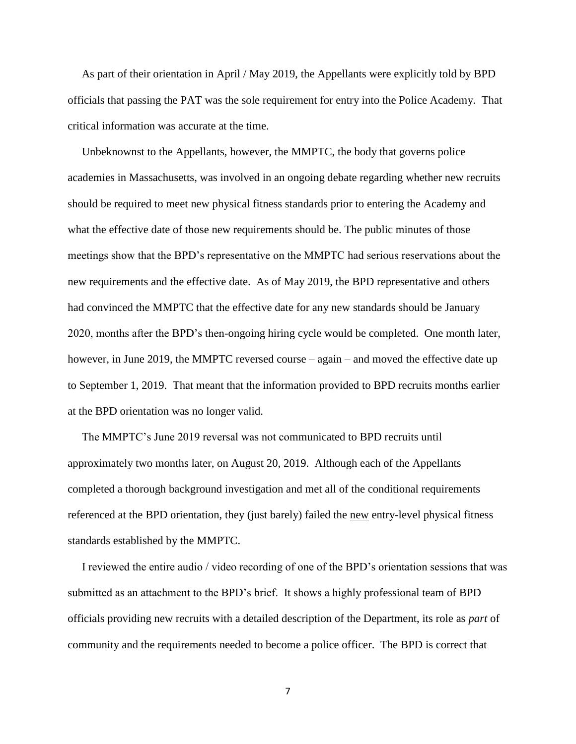As part of their orientation in April / May 2019, the Appellants were explicitly told by BPD officials that passing the PAT was the sole requirement for entry into the Police Academy. That critical information was accurate at the time.

 Unbeknownst to the Appellants, however, the MMPTC, the body that governs police academies in Massachusetts, was involved in an ongoing debate regarding whether new recruits should be required to meet new physical fitness standards prior to entering the Academy and what the effective date of those new requirements should be. The public minutes of those meetings show that the BPD's representative on the MMPTC had serious reservations about the new requirements and the effective date. As of May 2019, the BPD representative and others had convinced the MMPTC that the effective date for any new standards should be January 2020, months after the BPD's then-ongoing hiring cycle would be completed. One month later, however, in June 2019, the MMPTC reversed course – again – and moved the effective date up to September 1, 2019. That meant that the information provided to BPD recruits months earlier at the BPD orientation was no longer valid.

 The MMPTC's June 2019 reversal was not communicated to BPD recruits until approximately two months later, on August 20, 2019. Although each of the Appellants completed a thorough background investigation and met all of the conditional requirements referenced at the BPD orientation, they (just barely) failed the new entry-level physical fitness standards established by the MMPTC.

 I reviewed the entire audio / video recording of one of the BPD's orientation sessions that was submitted as an attachment to the BPD's brief. It shows a highly professional team of BPD officials providing new recruits with a detailed description of the Department, its role as *part* of community and the requirements needed to become a police officer. The BPD is correct that

7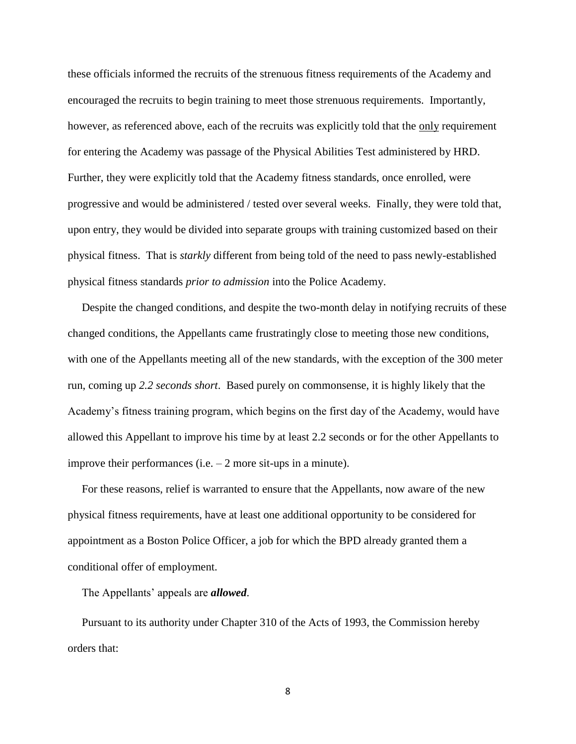these officials informed the recruits of the strenuous fitness requirements of the Academy and encouraged the recruits to begin training to meet those strenuous requirements. Importantly, however, as referenced above, each of the recruits was explicitly told that the only requirement for entering the Academy was passage of the Physical Abilities Test administered by HRD. Further, they were explicitly told that the Academy fitness standards, once enrolled, were progressive and would be administered / tested over several weeks. Finally, they were told that, upon entry, they would be divided into separate groups with training customized based on their physical fitness. That is *starkly* different from being told of the need to pass newly-established physical fitness standards *prior to admission* into the Police Academy.

 Despite the changed conditions, and despite the two-month delay in notifying recruits of these changed conditions, the Appellants came frustratingly close to meeting those new conditions, with one of the Appellants meeting all of the new standards, with the exception of the 300 meter run, coming up *2.2 seconds short*. Based purely on commonsense, it is highly likely that the Academy's fitness training program, which begins on the first day of the Academy, would have allowed this Appellant to improve his time by at least 2.2 seconds or for the other Appellants to improve their performances (i.e.  $-2$  more sit-ups in a minute).

 For these reasons, relief is warranted to ensure that the Appellants, now aware of the new physical fitness requirements, have at least one additional opportunity to be considered for appointment as a Boston Police Officer, a job for which the BPD already granted them a conditional offer of employment.

The Appellants' appeals are *allowed*.

 Pursuant to its authority under Chapter 310 of the Acts of 1993, the Commission hereby orders that:

8